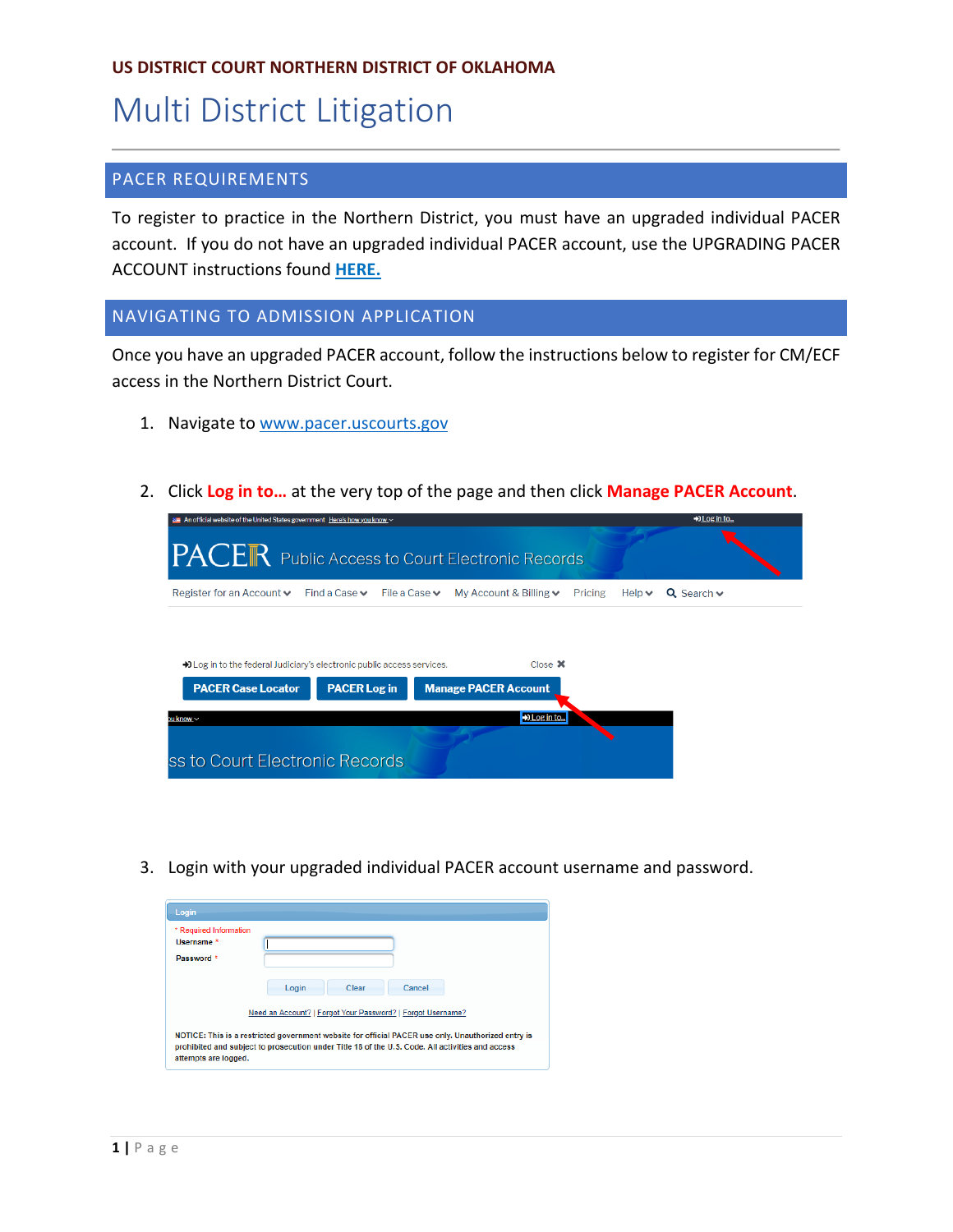### **US DISTRICT COURT NORTHERN DISTRICT OF OKLAHOMA**

# Multi District Litigation

### PACER REQUIREMENTS

To register to practice in the Northern District, you must have an upgraded individual PACER account. If you do not have an upgraded individual PACER account, use the UPGRADING PACER ACCOUNT instructions found **[HERE.](https://www.oknd.uscourts.gov/docs/c3114e52-e984-4877-8768-9f6069901c69/New-PACER-Account_OKND_031419.pdf)**

#### NAVIGATING TO ADMISSION APPLICATION

Once you have an upgraded PACER account, follow the instructions below to register for CM/ECF access in the Northern District Court.

- 1. Navigate to [www.pacer.uscourts.gov](http://www.pacer.uscourts.gov/)
- 2. Click **Log in to…** at the very top of the page and then click **Manage PACER Account**.



3. Login with your upgraded individual PACER account username and password.

| Login                                                                                                                                                                                                                          |                                                                                         |  |
|--------------------------------------------------------------------------------------------------------------------------------------------------------------------------------------------------------------------------------|-----------------------------------------------------------------------------------------|--|
| * Required Information<br>Username *<br>Password *                                                                                                                                                                             |                                                                                         |  |
|                                                                                                                                                                                                                                | Cancel<br>Login<br>Clear<br>Need an Account?   Forgot Your Password?   Forgot Username? |  |
| NOTICE: This is a restricted government website for official PACER use only. Unauthorized entry is<br>prohibited and subject to prosecution under Title 18 of the U.S. Code. All activities and access<br>attempts are logged. |                                                                                         |  |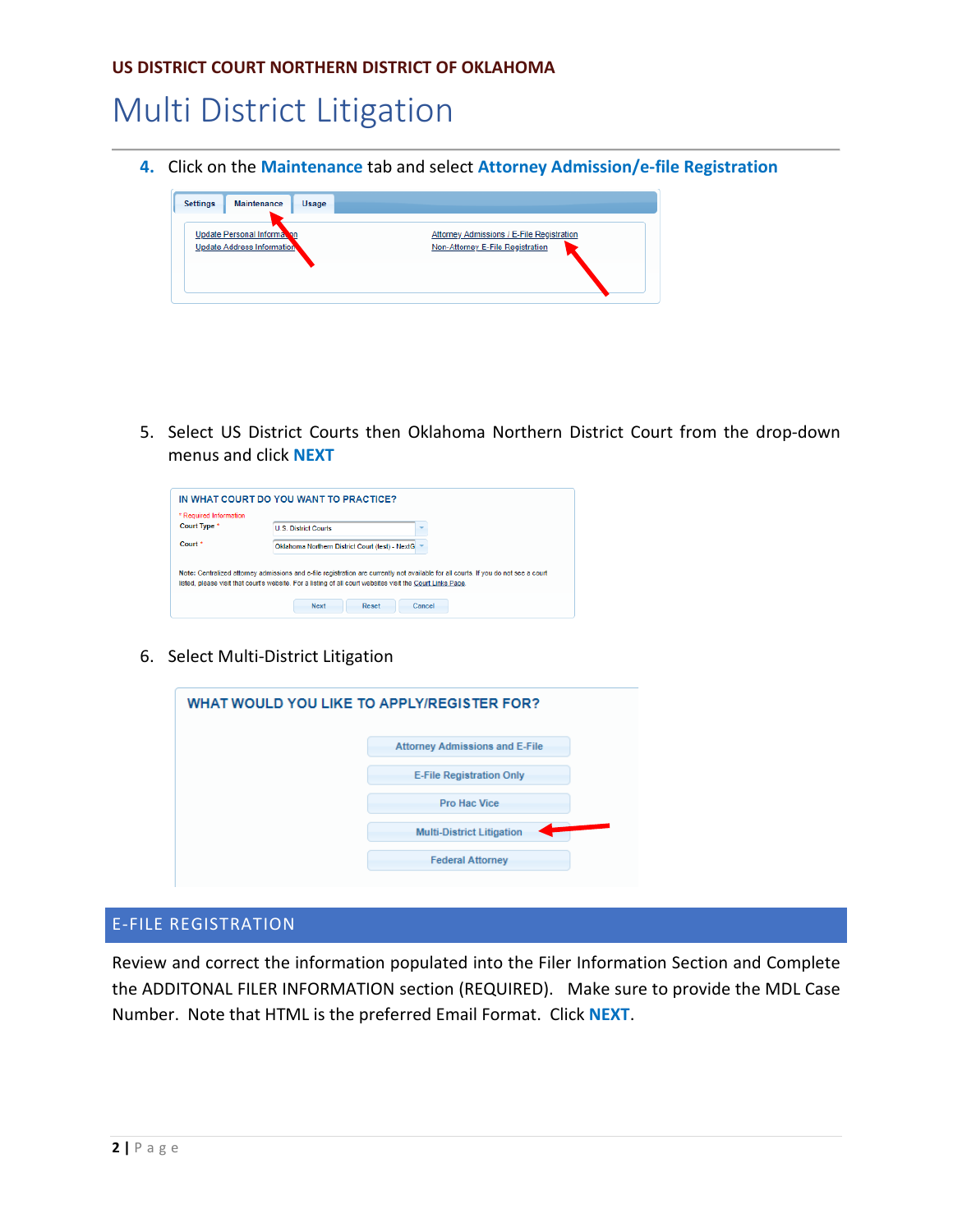## Multi District Litigation

**4.** Click on the **Maintenance** tab and select **Attorney Admission/e-file Registration**



5. Select US District Courts then Oklahoma Northern District Court from the drop-down menus and click **NEXT**

| Court Type *       | <b>U.S. District Courts</b>                                                                                                                                                                                                                       |
|--------------------|---------------------------------------------------------------------------------------------------------------------------------------------------------------------------------------------------------------------------------------------------|
| Court <sup>*</sup> | Oklahoma Northern District Court (test) - NextG                                                                                                                                                                                                   |
|                    |                                                                                                                                                                                                                                                   |
|                    | Note: Centralized attorney admissions and e-file registration are currently not available for all courts. If you do not see a court<br>listed, please visit that court's website. For a listing of all court websites visit the Court Links Page. |

6. Select Multi-District Litigation

| WHAT WOULD YOU LIKE TO APPLY/REGISTER FOR? |                                       |
|--------------------------------------------|---------------------------------------|
|                                            | <b>Attorney Admissions and E-File</b> |
|                                            | <b>E-File Registration Only</b>       |
|                                            | <b>Pro Hac Vice</b>                   |
|                                            | <b>Multi-District Litigation</b>      |
|                                            | <b>Federal Attorney</b>               |

### E-FILE REGISTRATION

Review and correct the information populated into the Filer Information Section and Complete the ADDITONAL FILER INFORMATION section (REQUIRED). Make sure to provide the MDL Case Number. Note that HTML is the preferred Email Format. Click **NEXT**.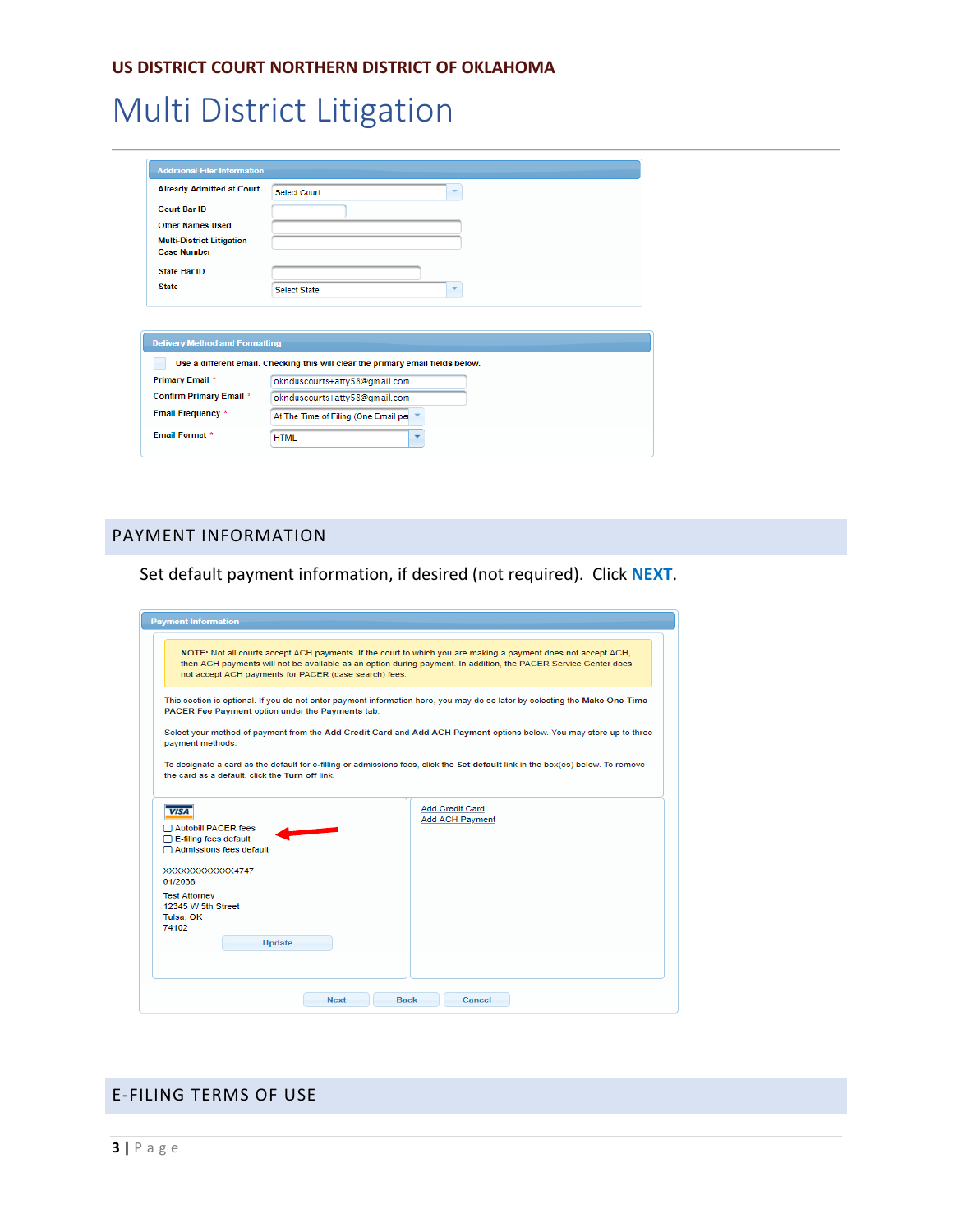# Multi District Litigation

| <b>Already Admitted at Court</b>                                                                                       | Select Court                                                                    |
|------------------------------------------------------------------------------------------------------------------------|---------------------------------------------------------------------------------|
| <b>Court Bar ID</b>                                                                                                    |                                                                                 |
| <b>Other Names Used</b>                                                                                                |                                                                                 |
| <b>Multi-District Litigation</b><br><b>Case Number</b>                                                                 |                                                                                 |
| <b>State Bar ID</b>                                                                                                    |                                                                                 |
| <b>State</b>                                                                                                           | <b>Select State</b><br>▼                                                        |
|                                                                                                                        |                                                                                 |
|                                                                                                                        |                                                                                 |
|                                                                                                                        | Use a different email. Checking this will clear the primary email fields below. |
|                                                                                                                        | oknduscourts+atty58@gmail.com                                                   |
|                                                                                                                        | oknduscourts+atty58@gmail.com                                                   |
| <b>Delivery Method and Formatting</b><br>Primary Email *<br><b>Confirm Primary Email *</b><br><b>Email Frequency *</b> | At The Time of Filing (One Email per                                            |

### PAYMENT INFORMATION

Set default payment information, if desired (not required). Click **NEXT**.

| <b>Payment Information</b>                                                                    |                                                                                                                                                                                                                                                   |  |  |
|-----------------------------------------------------------------------------------------------|---------------------------------------------------------------------------------------------------------------------------------------------------------------------------------------------------------------------------------------------------|--|--|
| not accept ACH payments for PACER (case search) fees.                                         | NOTE: Not all courts accept ACH payments. If the court to which you are making a payment does not accept ACH,<br>then ACH payments will not be available as an option during payment. In addition, the PACER Service Center does                  |  |  |
| PACER Fee Payment option under the Payments tab.<br>payment methods.                          | This section is optional. If you do not enter payment information here, you may do so later by selecting the Make One-Time<br>Select your method of payment from the Add Credit Card and Add ACH Payment options below. You may store up to three |  |  |
| the card as a default, click the Turn off link.                                               | To designate a card as the default for e-filling or admissions fees, click the Set default link in the box(es) below. To remove                                                                                                                   |  |  |
| <b>VISA</b><br>Autobill PACER fees<br>$\Box$ E-filing fees default<br>Admissions fees default | <b>Add Credit Card</b><br><b>Add ACH Payment</b>                                                                                                                                                                                                  |  |  |
| XXXXXXXXXXXX4747<br>01/2038                                                                   |                                                                                                                                                                                                                                                   |  |  |
| <b>Test Attorney</b><br>12345 W 5th Street<br>Tulsa, OK<br>74102                              |                                                                                                                                                                                                                                                   |  |  |
| Update                                                                                        |                                                                                                                                                                                                                                                   |  |  |
| <b>Next</b>                                                                                   | <b>Back</b><br>Cancel                                                                                                                                                                                                                             |  |  |

### E-FILING TERMS OF USE